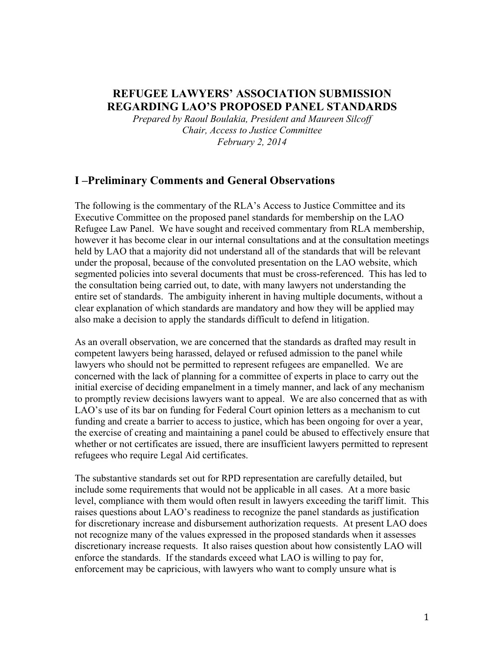## **REFUGEE LAWYERS' ASSOCIATION SUBMISSION REGARDING LAO'S PROPOSED PANEL STANDARDS**

*Prepared by Raoul Boulakia, President and Maureen Silcoff Chair, Access to Justice Committee February 2, 2014*

### **I –Preliminary Comments and General Observations**

The following is the commentary of the RLA's Access to Justice Committee and its Executive Committee on the proposed panel standards for membership on the LAO Refugee Law Panel. We have sought and received commentary from RLA membership, however it has become clear in our internal consultations and at the consultation meetings held by LAO that a majority did not understand all of the standards that will be relevant under the proposal, because of the convoluted presentation on the LAO website, which segmented policies into several documents that must be cross-referenced. This has led to the consultation being carried out, to date, with many lawyers not understanding the entire set of standards. The ambiguity inherent in having multiple documents, without a clear explanation of which standards are mandatory and how they will be applied may also make a decision to apply the standards difficult to defend in litigation.

As an overall observation, we are concerned that the standards as drafted may result in competent lawyers being harassed, delayed or refused admission to the panel while lawyers who should not be permitted to represent refugees are empanelled. We are concerned with the lack of planning for a committee of experts in place to carry out the initial exercise of deciding empanelment in a timely manner, and lack of any mechanism to promptly review decisions lawyers want to appeal. We are also concerned that as with LAO's use of its bar on funding for Federal Court opinion letters as a mechanism to cut funding and create a barrier to access to justice, which has been ongoing for over a year, the exercise of creating and maintaining a panel could be abused to effectively ensure that whether or not certificates are issued, there are insufficient lawyers permitted to represent refugees who require Legal Aid certificates.

The substantive standards set out for RPD representation are carefully detailed, but include some requirements that would not be applicable in all cases. At a more basic level, compliance with them would often result in lawyers exceeding the tariff limit. This raises questions about LAO's readiness to recognize the panel standards as justification for discretionary increase and disbursement authorization requests. At present LAO does not recognize many of the values expressed in the proposed standards when it assesses discretionary increase requests. It also raises question about how consistently LAO will enforce the standards. If the standards exceed what LAO is willing to pay for, enforcement may be capricious, with lawyers who want to comply unsure what is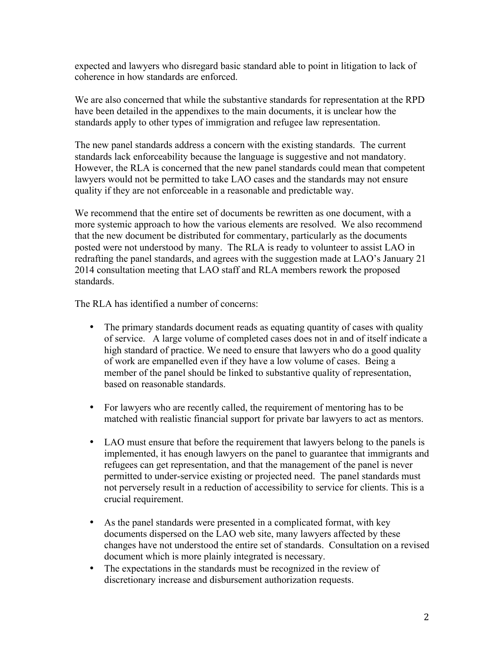expected and lawyers who disregard basic standard able to point in litigation to lack of coherence in how standards are enforced.

We are also concerned that while the substantive standards for representation at the RPD have been detailed in the appendixes to the main documents, it is unclear how the standards apply to other types of immigration and refugee law representation.

The new panel standards address a concern with the existing standards. The current standards lack enforceability because the language is suggestive and not mandatory. However, the RLA is concerned that the new panel standards could mean that competent lawyers would not be permitted to take LAO cases and the standards may not ensure quality if they are not enforceable in a reasonable and predictable way.

We recommend that the entire set of documents be rewritten as one document, with a more systemic approach to how the various elements are resolved. We also recommend that the new document be distributed for commentary, particularly as the documents posted were not understood by many. The RLA is ready to volunteer to assist LAO in redrafting the panel standards, and agrees with the suggestion made at LAO's January 21 2014 consultation meeting that LAO staff and RLA members rework the proposed standards.

The RLA has identified a number of concerns:

- The primary standards document reads as equating quantity of cases with quality of service. A large volume of completed cases does not in and of itself indicate a high standard of practice. We need to ensure that lawyers who do a good quality of work are empanelled even if they have a low volume of cases. Being a member of the panel should be linked to substantive quality of representation, based on reasonable standards.
- For lawyers who are recently called, the requirement of mentoring has to be matched with realistic financial support for private bar lawyers to act as mentors.
- LAO must ensure that before the requirement that lawyers belong to the panels is implemented, it has enough lawyers on the panel to guarantee that immigrants and refugees can get representation, and that the management of the panel is never permitted to under-service existing or projected need. The panel standards must not perversely result in a reduction of accessibility to service for clients. This is a crucial requirement.
- As the panel standards were presented in a complicated format, with key documents dispersed on the LAO web site, many lawyers affected by these changes have not understood the entire set of standards. Consultation on a revised document which is more plainly integrated is necessary.
- The expectations in the standards must be recognized in the review of discretionary increase and disbursement authorization requests.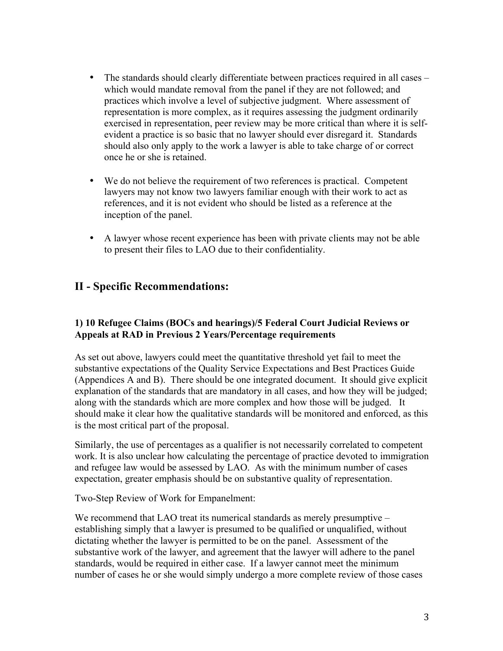- The standards should clearly differentiate between practices required in all cases which would mandate removal from the panel if they are not followed; and practices which involve a level of subjective judgment. Where assessment of representation is more complex, as it requires assessing the judgment ordinarily exercised in representation, peer review may be more critical than where it is selfevident a practice is so basic that no lawyer should ever disregard it. Standards should also only apply to the work a lawyer is able to take charge of or correct once he or she is retained.
- We do not believe the requirement of two references is practical. Competent lawyers may not know two lawyers familiar enough with their work to act as references, and it is not evident who should be listed as a reference at the inception of the panel.
- A lawyer whose recent experience has been with private clients may not be able to present their files to LAO due to their confidentiality.

# **II - Specific Recommendations:**

#### **1) 10 Refugee Claims (BOCs and hearings)/5 Federal Court Judicial Reviews or Appeals at RAD in Previous 2 Years/Percentage requirements**

As set out above, lawyers could meet the quantitative threshold yet fail to meet the substantive expectations of the Quality Service Expectations and Best Practices Guide (Appendices A and B). There should be one integrated document. It should give explicit explanation of the standards that are mandatory in all cases, and how they will be judged; along with the standards which are more complex and how those will be judged. It should make it clear how the qualitative standards will be monitored and enforced, as this is the most critical part of the proposal.

Similarly, the use of percentages as a qualifier is not necessarily correlated to competent work. It is also unclear how calculating the percentage of practice devoted to immigration and refugee law would be assessed by LAO. As with the minimum number of cases expectation, greater emphasis should be on substantive quality of representation.

Two-Step Review of Work for Empanelment:

We recommend that LAO treat its numerical standards as merely presumptive – establishing simply that a lawyer is presumed to be qualified or unqualified, without dictating whether the lawyer is permitted to be on the panel. Assessment of the substantive work of the lawyer, and agreement that the lawyer will adhere to the panel standards, would be required in either case. If a lawyer cannot meet the minimum number of cases he or she would simply undergo a more complete review of those cases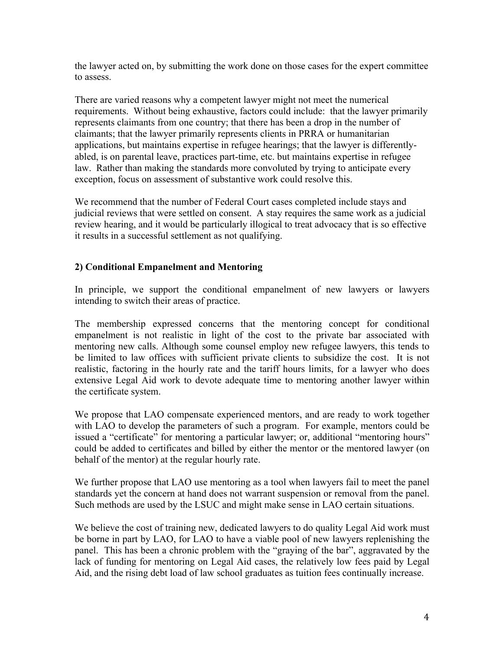the lawyer acted on, by submitting the work done on those cases for the expert committee to assess.

There are varied reasons why a competent lawyer might not meet the numerical requirements. Without being exhaustive, factors could include: that the lawyer primarily represents claimants from one country; that there has been a drop in the number of claimants; that the lawyer primarily represents clients in PRRA or humanitarian applications, but maintains expertise in refugee hearings; that the lawyer is differentlyabled, is on parental leave, practices part-time, etc. but maintains expertise in refugee law. Rather than making the standards more convoluted by trying to anticipate every exception, focus on assessment of substantive work could resolve this.

We recommend that the number of Federal Court cases completed include stays and judicial reviews that were settled on consent. A stay requires the same work as a judicial review hearing, and it would be particularly illogical to treat advocacy that is so effective it results in a successful settlement as not qualifying.

#### **2) Conditional Empanelment and Mentoring**

In principle, we support the conditional empanelment of new lawyers or lawyers intending to switch their areas of practice.

The membership expressed concerns that the mentoring concept for conditional empanelment is not realistic in light of the cost to the private bar associated with mentoring new calls. Although some counsel employ new refugee lawyers, this tends to be limited to law offices with sufficient private clients to subsidize the cost. It is not realistic, factoring in the hourly rate and the tariff hours limits, for a lawyer who does extensive Legal Aid work to devote adequate time to mentoring another lawyer within the certificate system.

We propose that LAO compensate experienced mentors, and are ready to work together with LAO to develop the parameters of such a program. For example, mentors could be issued a "certificate" for mentoring a particular lawyer; or, additional "mentoring hours" could be added to certificates and billed by either the mentor or the mentored lawyer (on behalf of the mentor) at the regular hourly rate.

We further propose that LAO use mentoring as a tool when lawyers fail to meet the panel standards yet the concern at hand does not warrant suspension or removal from the panel. Such methods are used by the LSUC and might make sense in LAO certain situations.

We believe the cost of training new, dedicated lawyers to do quality Legal Aid work must be borne in part by LAO, for LAO to have a viable pool of new lawyers replenishing the panel. This has been a chronic problem with the "graying of the bar", aggravated by the lack of funding for mentoring on Legal Aid cases, the relatively low fees paid by Legal Aid, and the rising debt load of law school graduates as tuition fees continually increase.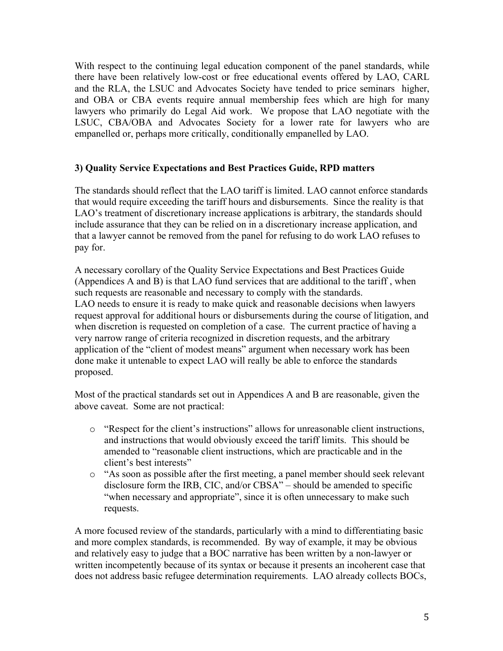With respect to the continuing legal education component of the panel standards, while there have been relatively low-cost or free educational events offered by LAO, CARL and the RLA, the LSUC and Advocates Society have tended to price seminars higher, and OBA or CBA events require annual membership fees which are high for many lawyers who primarily do Legal Aid work. We propose that LAO negotiate with the LSUC, CBA/OBA and Advocates Society for a lower rate for lawyers who are empanelled or, perhaps more critically, conditionally empanelled by LAO.

#### **3) Quality Service Expectations and Best Practices Guide, RPD matters**

The standards should reflect that the LAO tariff is limited. LAO cannot enforce standards that would require exceeding the tariff hours and disbursements. Since the reality is that LAO's treatment of discretionary increase applications is arbitrary, the standards should include assurance that they can be relied on in a discretionary increase application, and that a lawyer cannot be removed from the panel for refusing to do work LAO refuses to pay for.

A necessary corollary of the Quality Service Expectations and Best Practices Guide (Appendices A and B) is that LAO fund services that are additional to the tariff , when such requests are reasonable and necessary to comply with the standards. LAO needs to ensure it is ready to make quick and reasonable decisions when lawyers request approval for additional hours or disbursements during the course of litigation, and when discretion is requested on completion of a case. The current practice of having a very narrow range of criteria recognized in discretion requests, and the arbitrary application of the "client of modest means" argument when necessary work has been done make it untenable to expect LAO will really be able to enforce the standards proposed.

Most of the practical standards set out in Appendices A and B are reasonable, given the above caveat. Some are not practical:

- o "Respect for the client's instructions" allows for unreasonable client instructions, and instructions that would obviously exceed the tariff limits. This should be amended to "reasonable client instructions, which are practicable and in the client's best interests"
- o "As soon as possible after the first meeting, a panel member should seek relevant disclosure form the IRB, CIC, and/or CBSA" – should be amended to specific "when necessary and appropriate", since it is often unnecessary to make such requests.

A more focused review of the standards, particularly with a mind to differentiating basic and more complex standards, is recommended. By way of example, it may be obvious and relatively easy to judge that a BOC narrative has been written by a non-lawyer or written incompetently because of its syntax or because it presents an incoherent case that does not address basic refugee determination requirements. LAO already collects BOCs,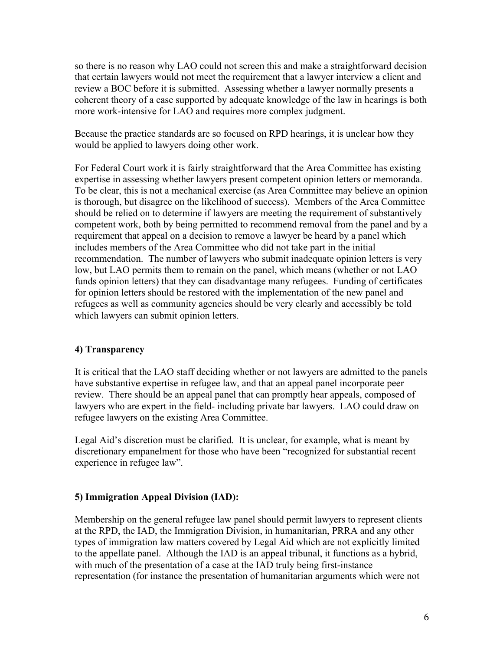so there is no reason why LAO could not screen this and make a straightforward decision that certain lawyers would not meet the requirement that a lawyer interview a client and review a BOC before it is submitted. Assessing whether a lawyer normally presents a coherent theory of a case supported by adequate knowledge of the law in hearings is both more work-intensive for LAO and requires more complex judgment.

Because the practice standards are so focused on RPD hearings, it is unclear how they would be applied to lawyers doing other work.

For Federal Court work it is fairly straightforward that the Area Committee has existing expertise in assessing whether lawyers present competent opinion letters or memoranda. To be clear, this is not a mechanical exercise (as Area Committee may believe an opinion is thorough, but disagree on the likelihood of success). Members of the Area Committee should be relied on to determine if lawyers are meeting the requirement of substantively competent work, both by being permitted to recommend removal from the panel and by a requirement that appeal on a decision to remove a lawyer be heard by a panel which includes members of the Area Committee who did not take part in the initial recommendation. The number of lawyers who submit inadequate opinion letters is very low, but LAO permits them to remain on the panel, which means (whether or not LAO funds opinion letters) that they can disadvantage many refugees. Funding of certificates for opinion letters should be restored with the implementation of the new panel and refugees as well as community agencies should be very clearly and accessibly be told which lawyers can submit opinion letters.

#### **4) Transparency**

It is critical that the LAO staff deciding whether or not lawyers are admitted to the panels have substantive expertise in refugee law, and that an appeal panel incorporate peer review. There should be an appeal panel that can promptly hear appeals, composed of lawyers who are expert in the field- including private bar lawyers. LAO could draw on refugee lawyers on the existing Area Committee.

Legal Aid's discretion must be clarified. It is unclear, for example, what is meant by discretionary empanelment for those who have been "recognized for substantial recent experience in refugee law".

#### **5) Immigration Appeal Division (IAD):**

Membership on the general refugee law panel should permit lawyers to represent clients at the RPD, the IAD, the Immigration Division, in humanitarian, PRRA and any other types of immigration law matters covered by Legal Aid which are not explicitly limited to the appellate panel. Although the IAD is an appeal tribunal, it functions as a hybrid, with much of the presentation of a case at the IAD truly being first-instance representation (for instance the presentation of humanitarian arguments which were not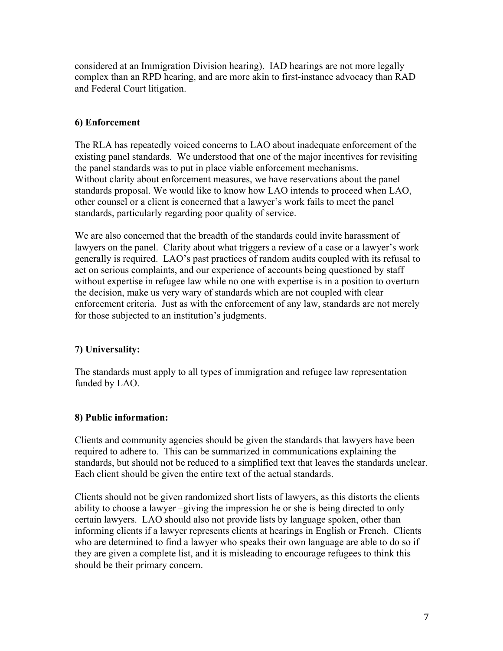considered at an Immigration Division hearing). IAD hearings are not more legally complex than an RPD hearing, and are more akin to first-instance advocacy than RAD and Federal Court litigation.

#### **6) Enforcement**

The RLA has repeatedly voiced concerns to LAO about inadequate enforcement of the existing panel standards. We understood that one of the major incentives for revisiting the panel standards was to put in place viable enforcement mechanisms. Without clarity about enforcement measures, we have reservations about the panel standards proposal. We would like to know how LAO intends to proceed when LAO, other counsel or a client is concerned that a lawyer's work fails to meet the panel standards, particularly regarding poor quality of service.

We are also concerned that the breadth of the standards could invite harassment of lawyers on the panel. Clarity about what triggers a review of a case or a lawyer's work generally is required. LAO's past practices of random audits coupled with its refusal to act on serious complaints, and our experience of accounts being questioned by staff without expertise in refugee law while no one with expertise is in a position to overturn the decision, make us very wary of standards which are not coupled with clear enforcement criteria. Just as with the enforcement of any law, standards are not merely for those subjected to an institution's judgments.

### **7) Universality:**

The standards must apply to all types of immigration and refugee law representation funded by LAO.

#### **8) Public information:**

Clients and community agencies should be given the standards that lawyers have been required to adhere to. This can be summarized in communications explaining the standards, but should not be reduced to a simplified text that leaves the standards unclear. Each client should be given the entire text of the actual standards.

Clients should not be given randomized short lists of lawyers, as this distorts the clients ability to choose a lawyer –giving the impression he or she is being directed to only certain lawyers. LAO should also not provide lists by language spoken, other than informing clients if a lawyer represents clients at hearings in English or French. Clients who are determined to find a lawyer who speaks their own language are able to do so if they are given a complete list, and it is misleading to encourage refugees to think this should be their primary concern.